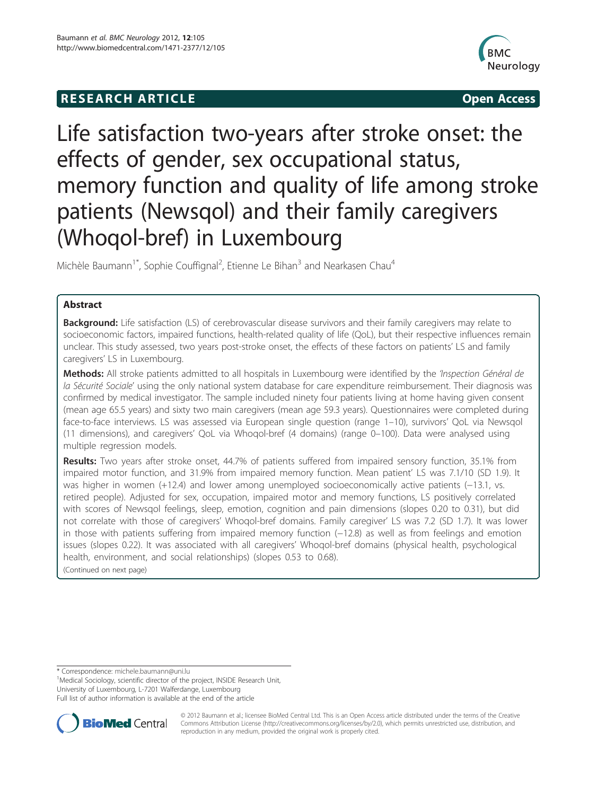# **RESEARCH ARTICLE CONSUMING A RESEARCH ARTICLE**



# Life satisfaction two-years after stroke onset: the effects of gender, sex occupational status, memory function and quality of life among stroke patients (Newsqol) and their family caregivers (Whoqol-bref) in Luxembourg

Michèle Baumann<sup>1\*</sup>, Sophie Couffignal<sup>2</sup>, Etienne Le Bihan<sup>3</sup> and Nearkasen Chau<sup>4</sup>

# Abstract

Background: Life satisfaction (LS) of cerebrovascular disease survivors and their family caregivers may relate to socioeconomic factors, impaired functions, health-related quality of life (QoL), but their respective influences remain unclear. This study assessed, two years post-stroke onset, the effects of these factors on patients' LS and family caregivers' LS in Luxembourg.

Methods: All stroke patients admitted to all hospitals in Luxembourg were identified by the 'Inspection Général de la Sécurité Sociale' using the only national system database for care expenditure reimbursement. Their diagnosis was confirmed by medical investigator. The sample included ninety four patients living at home having given consent (mean age 65.5 years) and sixty two main caregivers (mean age 59.3 years). Questionnaires were completed during face-to-face interviews. LS was assessed via European single question (range 1–10), survivors' QoL via Newsqol (11 dimensions), and caregivers' QoL via Whoqol-bref (4 domains) (range 0–100). Data were analysed using multiple regression models.

Results: Two years after stroke onset, 44.7% of patients suffered from impaired sensory function, 35.1% from impaired motor function, and 31.9% from impaired memory function. Mean patient' LS was 7.1/10 (SD 1.9). It was higher in women (+12.4) and lower among unemployed socioeconomically active patients (−13.1, vs. retired people). Adjusted for sex, occupation, impaired motor and memory functions, LS positively correlated with scores of Newsqol feelings, sleep, emotion, cognition and pain dimensions (slopes 0.20 to 0.31), but did not correlate with those of caregivers' Whoqol-bref domains. Family caregiver' LS was 7.2 (SD 1.7). It was lower in those with patients suffering from impaired memory function (−12.8) as well as from feelings and emotion issues (slopes 0.22). It was associated with all caregivers' Whoqol-bref domains (physical health, psychological health, environment, and social relationships) (slopes 0.53 to 0.68).

(Continued on next page)

<sup>1</sup>Medical Sociology, scientific director of the project, INSIDE Research Unit, University of Luxembourg, L-7201 Walferdange, Luxembourg

Full list of author information is available at the end of the article



© 2012 Baumann et al.; licensee BioMed Central Ltd. This is an Open Access article distributed under the terms of the Creative Commons Attribution License [\(http://creativecommons.org/licenses/by/2.0\)](http://creativecommons.org/licenses/by/2.0), which permits unrestricted use, distribution, and reproduction in any medium, provided the original work is properly cited.

<sup>\*</sup> Correspondence: [michele.baumann@uni.lu](mailto:michele.baumann@uni.lu) <sup>1</sup>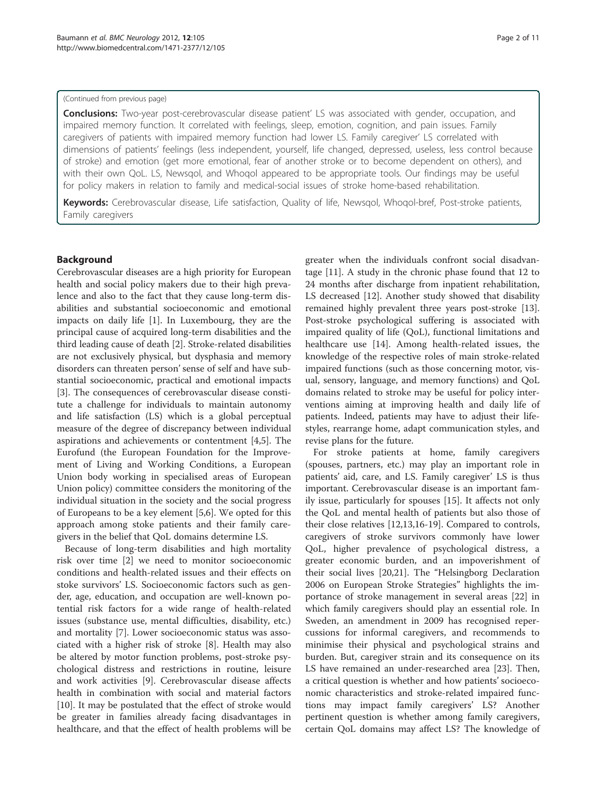#### (Continued from previous page)

Conclusions: Two-year post-cerebrovascular disease patient' LS was associated with gender, occupation, and impaired memory function. It correlated with feelings, sleep, emotion, cognition, and pain issues. Family caregivers of patients with impaired memory function had lower LS. Family caregiver' LS correlated with dimensions of patients' feelings (less independent, yourself, life changed, depressed, useless, less control because of stroke) and emotion (get more emotional, fear of another stroke or to become dependent on others), and

with their own QoL. LS, Newsqol, and Whoqol appeared to be appropriate tools. Our findings may be useful for policy makers in relation to family and medical-social issues of stroke home-based rehabilitation.

Keywords: Cerebrovascular disease, Life satisfaction, Quality of life, Newsqol, Whoqol-bref, Post-stroke patients, Family caregivers

# Background

Cerebrovascular diseases are a high priority for European health and social policy makers due to their high prevalence and also to the fact that they cause long-term disabilities and substantial socioeconomic and emotional impacts on daily life [[1\]](#page-9-0). In Luxembourg, they are the principal cause of acquired long-term disabilities and the third leading cause of death [[2\]](#page-9-0). Stroke-related disabilities are not exclusively physical, but dysphasia and memory disorders can threaten person' sense of self and have substantial socioeconomic, practical and emotional impacts [[3\]](#page-9-0). The consequences of cerebrovascular disease constitute a challenge for individuals to maintain autonomy and life satisfaction (LS) which is a global perceptual measure of the degree of discrepancy between individual aspirations and achievements or contentment [\[4](#page-9-0),[5](#page-9-0)]. The Eurofund (the European Foundation for the Improvement of Living and Working Conditions, a European Union body working in specialised areas of European Union policy) committee considers the monitoring of the individual situation in the society and the social progress of Europeans to be a key element [\[5,6](#page-9-0)]. We opted for this approach among stoke patients and their family caregivers in the belief that QoL domains determine LS.

Because of long-term disabilities and high mortality risk over time [\[2](#page-9-0)] we need to monitor socioeconomic conditions and health-related issues and their effects on stoke survivors' LS. Socioeconomic factors such as gender, age, education, and occupation are well-known potential risk factors for a wide range of health-related issues (substance use, mental difficulties, disability, etc.) and mortality [[7](#page-9-0)]. Lower socioeconomic status was associated with a higher risk of stroke [\[8\]](#page-9-0). Health may also be altered by motor function problems, post-stroke psychological distress and restrictions in routine, leisure and work activities [\[9](#page-9-0)]. Cerebrovascular disease affects health in combination with social and material factors [[10\]](#page-9-0). It may be postulated that the effect of stroke would be greater in families already facing disadvantages in healthcare, and that the effect of health problems will be greater when the individuals confront social disadvantage [[11\]](#page-9-0). A study in the chronic phase found that 12 to 24 months after discharge from inpatient rehabilitation, LS decreased [[12\]](#page-9-0). Another study showed that disability remained highly prevalent three years post-stroke [\[13](#page-9-0)]. Post-stroke psychological suffering is associated with impaired quality of life (QoL), functional limitations and healthcare use [[14\]](#page-9-0). Among health-related issues, the knowledge of the respective roles of main stroke-related impaired functions (such as those concerning motor, visual, sensory, language, and memory functions) and QoL domains related to stroke may be useful for policy interventions aiming at improving health and daily life of patients. Indeed, patients may have to adjust their lifestyles, rearrange home, adapt communication styles, and revise plans for the future.

For stroke patients at home, family caregivers (spouses, partners, etc.) may play an important role in patients' aid, care, and LS. Family caregiver' LS is thus important. Cerebrovascular disease is an important family issue, particularly for spouses [[15\]](#page-9-0). It affects not only the QoL and mental health of patients but also those of their close relatives [\[12,13,16](#page-9-0)[-19](#page-10-0)]. Compared to controls, caregivers of stroke survivors commonly have lower QoL, higher prevalence of psychological distress, a greater economic burden, and an impoverishment of their social lives [\[20,21\]](#page-10-0). The "Helsingborg Declaration 2006 on European Stroke Strategies" highlights the importance of stroke management in several areas [[22](#page-10-0)] in which family caregivers should play an essential role. In Sweden, an amendment in 2009 has recognised repercussions for informal caregivers, and recommends to minimise their physical and psychological strains and burden. But, caregiver strain and its consequence on its LS have remained an under-researched area [[23\]](#page-10-0). Then, a critical question is whether and how patients' socioeconomic characteristics and stroke-related impaired functions may impact family caregivers' LS? Another pertinent question is whether among family caregivers, certain QoL domains may affect LS? The knowledge of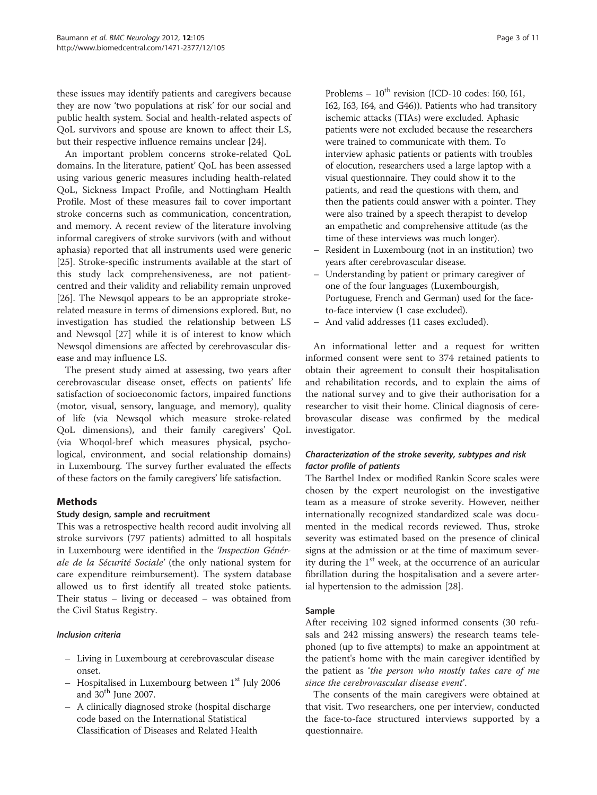these issues may identify patients and caregivers because they are now 'two populations at risk' for our social and public health system. Social and health-related aspects of QoL survivors and spouse are known to affect their LS, but their respective influence remains unclear [[24\]](#page-10-0).

An important problem concerns stroke-related QoL domains. In the literature, patient' QoL has been assessed using various generic measures including health-related QoL, Sickness Impact Profile, and Nottingham Health Profile. Most of these measures fail to cover important stroke concerns such as communication, concentration, and memory. A recent review of the literature involving informal caregivers of stroke survivors (with and without aphasia) reported that all instruments used were generic [[25\]](#page-10-0). Stroke-specific instruments available at the start of this study lack comprehensiveness, are not patientcentred and their validity and reliability remain unproved [[26\]](#page-10-0). The Newsqol appears to be an appropriate strokerelated measure in terms of dimensions explored. But, no investigation has studied the relationship between LS and Newsqol [\[27](#page-10-0)] while it is of interest to know which Newsqol dimensions are affected by cerebrovascular disease and may influence LS.

The present study aimed at assessing, two years after cerebrovascular disease onset, effects on patients' life satisfaction of socioeconomic factors, impaired functions (motor, visual, sensory, language, and memory), quality of life (via Newsqol which measure stroke-related QoL dimensions), and their family caregivers' QoL (via Whoqol-bref which measures physical, psychological, environment, and social relationship domains) in Luxembourg. The survey further evaluated the effects of these factors on the family caregivers' life satisfaction.

# Methods

# Study design, sample and recruitment

This was a retrospective health record audit involving all stroke survivors (797 patients) admitted to all hospitals in Luxembourg were identified in the 'Inspection Générale de la Sécurité Sociale' (the only national system for care expenditure reimbursement). The system database allowed us to first identify all treated stoke patients. Their status – living or deceased – was obtained from the Civil Status Registry.

# Inclusion criteria

- Living in Luxembourg at cerebrovascular disease onset.
- Hospitalised in Luxembourg between 1st July 2006 and  $30<sup>th</sup>$  June 2007.
- A clinically diagnosed stroke (hospital discharge code based on the International Statistical Classification of Diseases and Related Health

Problems  $-10^{th}$  revision (ICD-10 codes: 160, 161, I62, I63, I64, and G46)). Patients who had transitory ischemic attacks (TIAs) were excluded. Aphasic patients were not excluded because the researchers were trained to communicate with them. To interview aphasic patients or patients with troubles of elocution, researchers used a large laptop with a visual questionnaire. They could show it to the patients, and read the questions with them, and then the patients could answer with a pointer. They were also trained by a speech therapist to develop an empathetic and comprehensive attitude (as the time of these interviews was much longer).

- Resident in Luxembourg (not in an institution) two years after cerebrovascular disease.
- Understanding by patient or primary caregiver of one of the four languages (Luxembourgish, Portuguese, French and German) used for the faceto-face interview (1 case excluded).
- And valid addresses (11 cases excluded).

An informational letter and a request for written informed consent were sent to 374 retained patients to obtain their agreement to consult their hospitalisation and rehabilitation records, and to explain the aims of the national survey and to give their authorisation for a researcher to visit their home. Clinical diagnosis of cerebrovascular disease was confirmed by the medical investigator.

# Characterization of the stroke severity, subtypes and risk factor profile of patients

The Barthel Index or modified Rankin Score scales were chosen by the expert neurologist on the investigative team as a measure of stroke severity. However, neither internationally recognized standardized scale was documented in the medical records reviewed. Thus, stroke severity was estimated based on the presence of clinical signs at the admission or at the time of maximum severity during the 1<sup>st</sup> week, at the occurrence of an auricular fibrillation during the hospitalisation and a severe arterial hypertension to the admission [\[28\]](#page-10-0).

# Sample

After receiving 102 signed informed consents (30 refusals and 242 missing answers) the research teams telephoned (up to five attempts) to make an appointment at the patient's home with the main caregiver identified by the patient as 'the person who mostly takes care of me since the cerebrovascular disease event'.

The consents of the main caregivers were obtained at that visit. Two researchers, one per interview, conducted the face-to-face structured interviews supported by a questionnaire.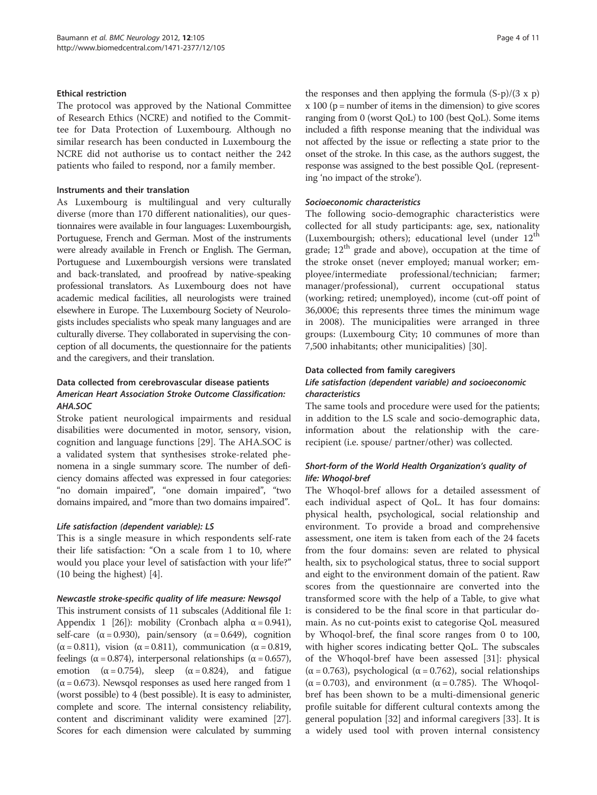# Ethical restriction

The protocol was approved by the National Committee of Research Ethics (NCRE) and notified to the Committee for Data Protection of Luxembourg. Although no similar research has been conducted in Luxembourg the NCRE did not authorise us to contact neither the 242 patients who failed to respond, nor a family member.

# Instruments and their translation

As Luxembourg is multilingual and very culturally diverse (more than 170 different nationalities), our questionnaires were available in four languages: Luxembourgish, Portuguese, French and German. Most of the instruments were already available in French or English. The German, Portuguese and Luxembourgish versions were translated and back-translated, and proofread by native-speaking professional translators. As Luxembourg does not have academic medical facilities, all neurologists were trained elsewhere in Europe. The Luxembourg Society of Neurologists includes specialists who speak many languages and are culturally diverse. They collaborated in supervising the conception of all documents, the questionnaire for the patients and the caregivers, and their translation.

# Data collected from cerebrovascular disease patients American Heart Association Stroke Outcome Classification: AHA.SOC

Stroke patient neurological impairments and residual disabilities were documented in motor, sensory, vision, cognition and language functions [\[29\]](#page-10-0). The AHA.SOC is a validated system that synthesises stroke-related phenomena in a single summary score. The number of deficiency domains affected was expressed in four categories: "no domain impaired", "one domain impaired", "two domains impaired, and "more than two domains impaired".

# Life satisfaction (dependent variable): LS

This is a single measure in which respondents self-rate their life satisfaction: "On a scale from 1 to 10, where would you place your level of satisfaction with your life?" (10 being the highest) [\[4](#page-9-0)].

# Newcastle stroke-specific quality of life measure: Newsqol

This instrument consists of 11 subscales (Additional file [1](#page-9-0): Appendix 1 [\[26\]](#page-10-0)): mobility (Cronbach alpha  $\alpha$  = 0.941), self-care  $(\alpha = 0.930)$ , pain/sensory  $(\alpha = 0.649)$ , cognition ( $\alpha$  = 0.811), vision ( $\alpha$  = 0.811), communication ( $\alpha$  = 0.819, feelings ( $\alpha$  = 0.874), interpersonal relationships ( $\alpha$  = 0.657), emotion ( $\alpha = 0.754$ ), sleep ( $\alpha = 0.824$ ), and fatigue  $(\alpha = 0.673)$ . Newsqol responses as used here ranged from 1 (worst possible) to 4 (best possible). It is easy to administer, complete and score. The internal consistency reliability, content and discriminant validity were examined [\[27](#page-10-0)]. Scores for each dimension were calculated by summing

the responses and then applying the formula  $(S-p)/(3 \times p)$  $x 100 (p = number of items in the dimension) to give scores$ ranging from 0 (worst QoL) to 100 (best QoL). Some items included a fifth response meaning that the individual was not affected by the issue or reflecting a state prior to the onset of the stroke. In this case, as the authors suggest, the response was assigned to the best possible QoL (representing 'no impact of the stroke').

# Socioeconomic characteristics

The following socio-demographic characteristics were collected for all study participants: age, sex, nationality (Luxembourgish; others); educational level (under  $12<sup>th</sup>$ grade;  $12<sup>th</sup>$  grade and above), occupation at the time of the stroke onset (never employed; manual worker; employee/intermediate professional/technician; farmer; manager/professional), current occupational status (working; retired; unemployed), income (cut-off point of 36,000€; this represents three times the minimum wage in 2008). The municipalities were arranged in three groups: (Luxembourg City; 10 communes of more than 7,500 inhabitants; other municipalities) [[30\]](#page-10-0).

# Data collected from family caregivers

# Life satisfaction (dependent variable) and socioeconomic characteristics

The same tools and procedure were used for the patients; in addition to the LS scale and socio-demographic data, information about the relationship with the carerecipient (i.e. spouse/ partner/other) was collected.

# Short-form of the World Health Organization's quality of life: Whoqol-bref

The Whoqol-bref allows for a detailed assessment of each individual aspect of QoL. It has four domains: physical health, psychological, social relationship and environment. To provide a broad and comprehensive assessment, one item is taken from each of the 24 facets from the four domains: seven are related to physical health, six to psychological status, three to social support and eight to the environment domain of the patient. Raw scores from the questionnaire are converted into the transformed score with the help of a Table, to give what is considered to be the final score in that particular domain. As no cut-points exist to categorise QoL measured by Whoqol-bref, the final score ranges from 0 to 100, with higher scores indicating better QoL. The subscales of the Whoqol-bref have been assessed [\[31](#page-10-0)]: physical ( $\alpha$  = 0.763), psychological ( $\alpha$  = 0.762), social relationships  $(\alpha = 0.703)$ , and environment  $(\alpha = 0.785)$ . The Whoqolbref has been shown to be a multi-dimensional generic profile suitable for different cultural contexts among the general population [\[32](#page-10-0)] and informal caregivers [[33\]](#page-10-0). It is a widely used tool with proven internal consistency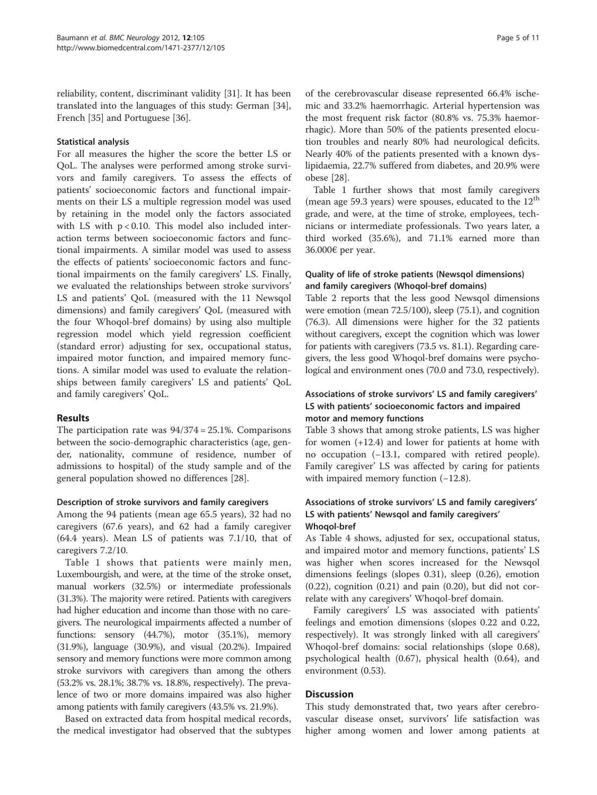reliability, content, discriminant validity [[31](#page-10-0)]. It has been translated into the languages of this study: German [\[34](#page-10-0)], French [[35\]](#page-10-0) and Portuguese [\[36](#page-10-0)].

# Statistical analysis

For all measures the higher the score the better LS or QoL. The analyses were performed among stroke survivors and family caregivers. To assess the effects of patients' socioeconomic factors and functional impairments on their LS a multiple regression model was used by retaining in the model only the factors associated with LS with p < 0.10. This model also included interaction terms between socioeconomic factors and functional impairments. A similar model was used to assess the effects of patients' socioeconomic factors and functional impairments on the family caregivers' LS. Finally, we evaluated the relationships between stroke survivors' LS and patients' QoL (measured with the 11 Newsqol dimensions) and family caregivers' QoL (measured with the four Whoqol-bref domains) by using also multiple regression model which yield regression coefficient (standard error) adjusting for sex, occupational status, impaired motor function, and impaired memory functions. A similar model was used to evaluate the relationships between family caregivers' LS and patients' QoL and family caregivers' QoL.

# Results

The participation rate was 94/374 = 25.1%. Comparisons between the socio-demographic characteristics (age, gender, nationality, commune of residence, number of admissions to hospital) of the study sample and of the general population showed no differences [\[28](#page-10-0)].

#### Description of stroke survivors and family caregivers

Among the 94 patients (mean age 65.5 years), 32 had no caregivers (67.6 years), and 62 had a family caregiver (64.4 years). Mean LS of patients was 7.1/10, that of caregivers 7.2/10.

Table [1](#page-5-0) shows that patients were mainly men, Luxembourgish, and were, at the time of the stroke onset, manual workers (32.5%) or intermediate professionals (31.3%). The majority were retired. Patients with caregivers had higher education and income than those with no caregivers. The neurological impairments affected a number of functions: sensory (44.7%), motor (35.1%), memory (31.9%), language (30.9%), and visual (20.2%). Impaired sensory and memory functions were more common among stroke survivors with caregivers than among the others (53.2% vs. 28.1%; 38.7% vs. 18.8%, respectively). The prevalence of two or more domains impaired was also higher among patients with family caregivers (43.5% vs. 21.9%).

Based on extracted data from hospital medical records, the medical investigator had observed that the subtypes

of the cerebrovascular disease represented 66.4% ischemic and 33.2% haemorrhagic. Arterial hypertension was the most frequent risk factor (80.8% vs. 75.3% haemorrhagic). More than 50% of the patients presented elocution troubles and nearly 80% had neurological deficits. Nearly 40% of the patients presented with a known dyslipidaemia, 22.7% suffered from diabetes, and 20.9% were obese [[28](#page-10-0)].

Table [1](#page-5-0) further shows that most family caregivers (mean age 59.3 years) were spouses, educated to the  $12<sup>th</sup>$ grade, and were, at the time of stroke, employees, technicians or intermediate professionals. Two years later, a third worked (35.6%), and 71.1% earned more than 36.000€ per year.

# Quality of life of stroke patients (Newsqol dimensions) and family caregivers (Whoqol-bref domains)

Table [2](#page-6-0) reports that the less good Newsqol dimensions were emotion (mean 72.5/100), sleep (75.1), and cognition (76.3). All dimensions were higher for the 32 patients without caregivers, except the cognition which was lower for patients with caregivers (73.5 vs. 81.1). Regarding caregivers, the less good Whoqol-bref domains were psychological and environment ones (70.0 and 73.0, respectively).

# Associations of stroke survivors' LS and family caregivers' LS with patients' socioeconomic factors and impaired motor and memory functions

Table [3](#page-6-0) shows that among stroke patients, LS was higher for women (+12.4) and lower for patients at home with no occupation (−13.1, compared with retired people). Family caregiver' LS was affected by caring for patients with impaired memory function  $(-12.8)$ .

# Associations of stroke survivors' LS and family caregivers' LS with patients' Newsqol and family caregivers' Whoqol-bref

As Table [4](#page-7-0) shows, adjusted for sex, occupational status, and impaired motor and memory functions, patients' LS was higher when scores increased for the Newsqol dimensions feelings (slopes 0.31), sleep (0.26), emotion  $(0.22)$ , cognition  $(0.21)$  and pain  $(0.20)$ , but did not correlate with any caregivers' Whoqol-bref domain.

Family caregivers' LS was associated with patients' feelings and emotion dimensions (slopes 0.22 and 0.22, respectively). It was strongly linked with all caregivers' Whoqol-bref domains: social relationships (slope 0.68), psychological health (0.67), physical health (0.64), and environment (0.53).

# **Discussion**

This study demonstrated that, two years after cerebrovascular disease onset, survivors' life satisfaction was higher among women and lower among patients at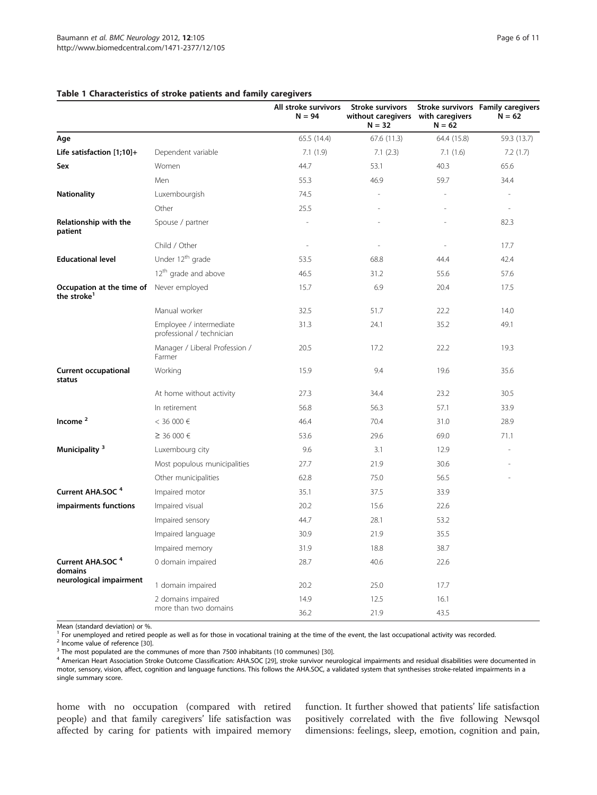|                                                                            |                                                      | All stroke survivors<br>$N = 94$ | <b>Stroke survivors</b><br>without caregivers with caregivers<br>$N = 32$ | $N = 62$    | Stroke survivors Family caregivers<br>$N = 62$ |
|----------------------------------------------------------------------------|------------------------------------------------------|----------------------------------|---------------------------------------------------------------------------|-------------|------------------------------------------------|
| Age                                                                        |                                                      | 65.5 (14.4)                      | 67.6(11.3)                                                                | 64.4 (15.8) | 59.3 (13.7)                                    |
| Life satisfaction $[1;10]+$                                                | Dependent variable                                   | 7.1(1.9)                         | 7.1(2.3)                                                                  | 7.1(1.6)    | 7.2(1.7)                                       |
| Sex                                                                        | Women                                                | 44.7                             | 53.1                                                                      | 40.3        | 65.6                                           |
|                                                                            | Men                                                  | 55.3                             | 46.9                                                                      | 59.7        | 34.4                                           |
| <b>Nationality</b>                                                         | Luxembourgish                                        | 74.5                             |                                                                           |             |                                                |
|                                                                            | Other                                                | 25.5                             |                                                                           |             |                                                |
| Relationship with the<br>patient                                           | Spouse / partner                                     |                                  |                                                                           |             | 82.3                                           |
|                                                                            | Child / Other                                        | L,                               |                                                                           |             | 17.7                                           |
| <b>Educational level</b>                                                   | Under 12 <sup>th</sup> grade                         | 53.5                             | 68.8                                                                      | 44.4        | 42.4                                           |
|                                                                            | 12 <sup>th</sup> grade and above                     | 46.5                             | 31.2                                                                      | 55.6        | 57.6                                           |
| <b>Occupation at the time of</b> Never employed<br>the stroke <sup>1</sup> |                                                      | 15.7                             | 6.9                                                                       | 20.4        | 17.5                                           |
|                                                                            | Manual worker                                        | 32.5                             | 51.7                                                                      | 22.2        | 14.0                                           |
|                                                                            | Employee / intermediate<br>professional / technician | 31.3                             | 24.1                                                                      | 35.2        | 49.1                                           |
|                                                                            | Manager / Liberal Profession /<br>Farmer             | 20.5                             | 17.2                                                                      | 22.2        | 19.3                                           |
| <b>Current occupational</b><br>status                                      | Working                                              | 15.9                             | 9.4                                                                       | 19.6        | 35.6                                           |
|                                                                            | At home without activity                             | 27.3                             | 34.4                                                                      | 23.2        | 30.5                                           |
|                                                                            | In retirement                                        | 56.8                             | 56.3                                                                      | 57.1        | 33.9                                           |
| Income <sup>2</sup>                                                        | $<$ 36 000 €                                         | 46.4                             | 70.4                                                                      | 31.0        | 28.9                                           |
|                                                                            | ≥ 36 000 €                                           | 53.6                             | 29.6                                                                      | 69.0        | 71.1                                           |
| Municipality <sup>3</sup>                                                  | Luxembourg city                                      | 9.6                              | 3.1                                                                       | 12.9        |                                                |
|                                                                            | Most populous municipalities                         | 27.7                             | 21.9                                                                      | 30.6        |                                                |
|                                                                            | Other municipalities                                 | 62.8                             | 75.0                                                                      | 56.5        |                                                |
| Current AHA.SOC <sup>4</sup>                                               | Impaired motor                                       | 35.1                             | 37.5                                                                      | 33.9        |                                                |
| impairments functions                                                      | Impaired visual                                      | 20.2                             | 15.6                                                                      | 22.6        |                                                |
|                                                                            | Impaired sensory                                     | 44.7                             | 28.1                                                                      | 53.2        |                                                |
|                                                                            | Impaired language                                    | 30.9                             | 21.9                                                                      | 35.5        |                                                |
|                                                                            | Impaired memory                                      | 31.9                             | 18.8                                                                      | 38.7        |                                                |
| Current AHA.SOC <sup>4</sup><br>domains                                    | 0 domain impaired                                    | 28.7                             | 40.6                                                                      | 22.6        |                                                |
| neurological impairment                                                    | 1 domain impaired                                    | 20.2                             | 25.0                                                                      | 17.7        |                                                |
|                                                                            | 2 domains impaired                                   | 14.9                             | 12.5                                                                      | 16.1        |                                                |
|                                                                            | more than two domains                                | 36.2                             | 21.9                                                                      | 43.5        |                                                |

### <span id="page-5-0"></span>Table 1 Characteristics of stroke patients and family caregivers

Mean (standard deviation) or %.

<sup>1</sup> For unemployed and retired people as well as for those in vocational training at the time of the event, the last occupational activity was recorded.<br><sup>2</sup> Income value of reference [30].

<sup>3</sup> The most populated are the communes of more than 7500 inhabitants (10 communes) [[30\]](#page-10-0).<br><sup>4</sup> American Heart Association Stroke Outcome Classification: AHA.SOC [[29\]](#page-10-0), stroke survivor neurological impairments and residual di motor, sensory, vision, affect, cognition and language functions. This follows the AHA.SOC, a validated system that synthesises stroke-related impairments in a single summary score.

home with no occupation (compared with retired people) and that family caregivers' life satisfaction was affected by caring for patients with impaired memory function. It further showed that patients' life satisfaction positively correlated with the five following Newsqol dimensions: feelings, sleep, emotion, cognition and pain,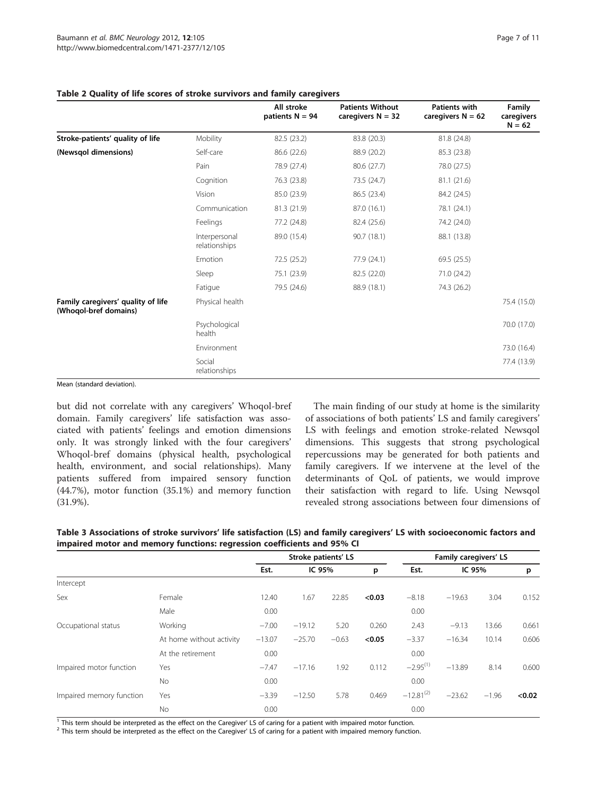|                                                             |                                | All stroke<br>patients $N = 94$ | <b>Patients Without</b><br>caregivers $N = 32$ | <b>Patients with</b><br>caregivers $N = 62$ | Family<br>caregivers<br>$N = 62$ |
|-------------------------------------------------------------|--------------------------------|---------------------------------|------------------------------------------------|---------------------------------------------|----------------------------------|
| Stroke-patients' quality of life                            | Mobility                       | 82.5 (23.2)                     | 83.8 (20.3)                                    | 81.8 (24.8)                                 |                                  |
| (Newsgol dimensions)                                        | Self-care                      | 86.6 (22.6)                     | 88.9 (20.2)                                    | 85.3 (23.8)                                 |                                  |
|                                                             | Pain                           | 78.9 (27.4)                     | 80.6 (27.7)                                    | 78.0 (27.5)                                 |                                  |
|                                                             | Cognition                      | 76.3 (23.8)                     | 73.5 (24.7)                                    | 81.1(21.6)                                  |                                  |
|                                                             | Vision                         | 85.0 (23.9)                     | 86.5 (23.4)                                    | 84.2 (24.5)                                 |                                  |
|                                                             | Communication                  | 81.3 (21.9)                     | 87.0 (16.1)                                    | 78.1 (24.1)                                 |                                  |
|                                                             | Feelings                       | 77.2 (24.8)                     | 82.4 (25.6)                                    | 74.2 (24.0)                                 |                                  |
|                                                             | Interpersonal<br>relationships | 89.0 (15.4)                     | 90.7 (18.1)                                    | 88.1 (13.8)                                 |                                  |
|                                                             | Emotion                        | 72.5 (25.2)                     | 77.9 (24.1)                                    | 69.5(25.5)                                  |                                  |
|                                                             | Sleep                          | 75.1 (23.9)                     | 82.5 (22.0)                                    | 71.0 (24.2)                                 |                                  |
|                                                             | Fatigue                        | 79.5 (24.6)                     | 88.9 (18.1)                                    | 74.3 (26.2)                                 |                                  |
| Family caregivers' quality of life<br>(Whoqol-bref domains) | Physical health                |                                 |                                                |                                             | 75.4 (15.0)                      |
|                                                             | Psychological<br>health        |                                 |                                                |                                             | 70.0 (17.0)                      |
|                                                             | Environment                    |                                 |                                                |                                             | 73.0 (16.4)                      |
|                                                             | Social<br>relationships        |                                 |                                                |                                             | 77.4 (13.9)                      |

#### <span id="page-6-0"></span>Table 2 Quality of life scores of stroke survivors and family caregivers

Mean (standard deviation).

but did not correlate with any caregivers' Whoqol-bref domain. Family caregivers' life satisfaction was associated with patients' feelings and emotion dimensions only. It was strongly linked with the four caregivers' Whoqol-bref domains (physical health, psychological health, environment, and social relationships). Many patients suffered from impaired sensory function (44.7%), motor function (35.1%) and memory function (31.9%).

The main finding of our study at home is the similarity of associations of both patients' LS and family caregivers' LS with feelings and emotion stroke-related Newsqol dimensions. This suggests that strong psychological repercussions may be generated for both patients and family caregivers. If we intervene at the level of the determinants of QoL of patients, we would improve their satisfaction with regard to life. Using Newsqol revealed strong associations between four dimensions of

| Table 3 Associations of stroke survivors' life satisfaction (LS) and family caregivers' LS with socioeconomic factors and |
|---------------------------------------------------------------------------------------------------------------------------|
| impaired motor and memory functions: regression coefficients and 95% CI                                                   |

|                          |                          | Stroke patients' LS |          |         |        | Family caregivers' LS |          |         |        |
|--------------------------|--------------------------|---------------------|----------|---------|--------|-----------------------|----------|---------|--------|
|                          |                          | Est.                | IC 95%   |         | p      | Est.                  | IC 95%   |         | p      |
| Intercept                |                          |                     |          |         |        |                       |          |         |        |
| Sex                      | Female                   | 12.40               | 1.67     | 22.85   | < 0.03 | $-8.18$               | $-19.63$ | 3.04    | 0.152  |
|                          | Male                     | 0.00                |          |         |        | 0.00                  |          |         |        |
| Occupational status      | Working                  | $-7.00$             | $-19.12$ | 5.20    | 0.260  | 2.43                  | $-9.13$  | 13.66   | 0.661  |
|                          | At home without activity | $-13.07$            | $-25.70$ | $-0.63$ | < 0.05 | $-3.37$               | $-16.34$ | 10.14   | 0.606  |
|                          | At the retirement        | 0.00                |          |         |        | 0.00                  |          |         |        |
| Impaired motor function  | Yes                      | $-7.47$             | $-17.16$ | 1.92    | 0.112  | $-2.95^{(1)}$         | $-13.89$ | 8.14    | 0.600  |
|                          | No                       | 0.00                |          |         |        | 0.00                  |          |         |        |
| Impaired memory function | Yes                      | $-3.39$             | $-12.50$ | 5.78    | 0.469  | $-12.81^{(2)}$        | $-23.62$ | $-1.96$ | < 0.02 |
|                          | <b>No</b>                | 0.00                |          |         |        | 0.00                  |          |         |        |

 $\frac{1}{1}$  This term should be interpreted as the effect on the Caregiver' LS of caring for a patient with impaired motor function.<br><sup>2</sup> This term should be interpreted as the effect on the Caregiver' LS of caring for a pat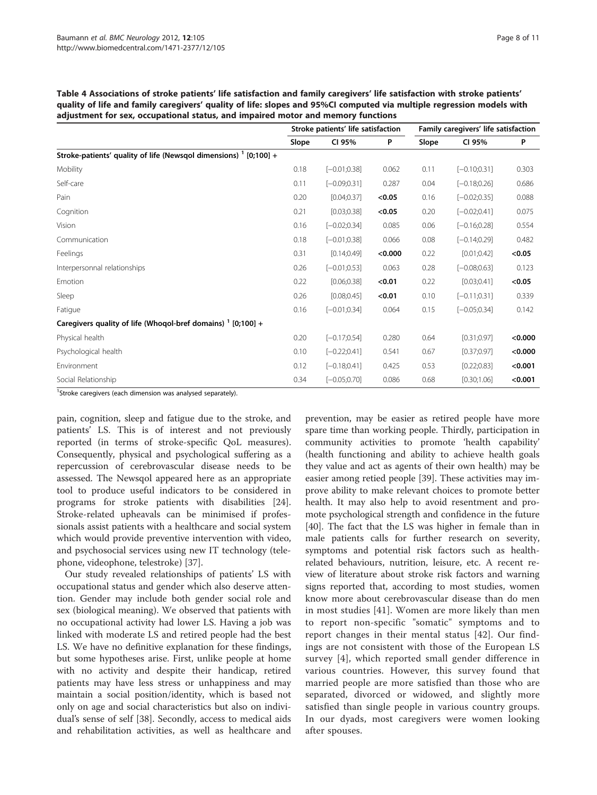|                                                                              | Stroke patients' life satisfaction |                 |         | Family caregivers' life satisfaction |                 |         |  |
|------------------------------------------------------------------------------|------------------------------------|-----------------|---------|--------------------------------------|-----------------|---------|--|
|                                                                              | Slope                              | CI 95%          | P       | Slope                                | CI 95%          | P       |  |
| Stroke-patients' quality of life (Newsqol dimensions) <sup>1</sup> [0;100] + |                                    |                 |         |                                      |                 |         |  |
| Mobility                                                                     | 0.18                               | $[-0.01;0.38]$  | 0.062   | 0.11                                 | $[-0.10;0.31]$  | 0.303   |  |
| Self-care                                                                    | 0.11                               | $[-0.09; 0.31]$ | 0.287   | 0.04                                 | $[-0.18; 0.26]$ | 0.686   |  |
| Pain                                                                         | 0.20                               | [0.04; 0.37]    | < 0.05  | 0.16                                 | $[-0.02;0.35]$  | 0.088   |  |
| Cognition                                                                    | 0.21                               | [0.03; 0.38]    | < 0.05  | 0.20                                 | $[-0.02;0.41]$  | 0.075   |  |
| Vision                                                                       | 0.16                               | $[-0.02;0.34]$  | 0.085   | 0.06                                 | $[-0.16;0.28]$  | 0.554   |  |
| Communication                                                                | 0.18                               | $[-0.01;0.38]$  | 0.066   | 0.08                                 | $[-0.14;0.29]$  | 0.482   |  |
| Feelings                                                                     | 0.31                               | [0.14; 0.49]    | < 0.000 | 0.22                                 | [0.01; 0.42]    | < 0.05  |  |
| Interpersonnal relationships                                                 | 0.26                               | $[-0.01;0.53]$  | 0.063   | 0.28                                 | $[-0.08;0.63]$  | 0.123   |  |
| Emotion                                                                      | 0.22                               | [0.06; 0.38]    | < 0.01  | 0.22                                 | [0.03; 0.41]    | < 0.05  |  |
| Sleep                                                                        | 0.26                               | [0.08; 0.45]    | < 0.01  | 0.10                                 | $[-0.11;0.31]$  | 0.339   |  |
| Fatigue                                                                      | 0.16                               | $[-0.01;0.34]$  | 0.064   | 0.15                                 | $[-0.05;0.34]$  | 0.142   |  |
| Caregivers quality of life (Whoqol-bref domains) $1$ [0;100] +               |                                    |                 |         |                                      |                 |         |  |
| Physical health                                                              | 0.20                               | $[-0.17;0.54]$  | 0.280   | 0.64                                 | [0.31; 0.97]    | < 0.000 |  |
| Psychological health                                                         | 0.10                               | $[-0.22; 0.41]$ | 0.541   | 0.67                                 | [0.37;0.97]     | < 0.000 |  |
| Environment                                                                  | 0.12                               | $[-0.18;0.41]$  | 0.425   | 0.53                                 | [0.22; 0.83]    | < 0.001 |  |
| Social Relationship                                                          | 0.34                               | $[-0.05;0.70]$  | 0.086   | 0.68                                 | [0.30;1.06]     | < 0.001 |  |

<span id="page-7-0"></span>Table 4 Associations of stroke patients' life satisfaction and family caregivers' life satisfaction with stroke patients' quality of life and family caregivers' quality of life: slopes and 95%CI computed via multiple regression models with adjustment for sex, occupational status, and impaired motor and memory functions

<sup>1</sup>Stroke caregivers (each dimension was analysed separately).

pain, cognition, sleep and fatigue due to the stroke, and patients' LS. This is of interest and not previously reported (in terms of stroke-specific QoL measures). Consequently, physical and psychological suffering as a repercussion of cerebrovascular disease needs to be assessed. The Newsqol appeared here as an appropriate tool to produce useful indicators to be considered in programs for stroke patients with disabilities [\[24](#page-10-0)]. Stroke-related upheavals can be minimised if professionals assist patients with a healthcare and social system which would provide preventive intervention with video, and psychosocial services using new IT technology (telephone, videophone, telestroke) [[37](#page-10-0)].

Our study revealed relationships of patients' LS with occupational status and gender which also deserve attention. Gender may include both gender social role and sex (biological meaning). We observed that patients with no occupational activity had lower LS. Having a job was linked with moderate LS and retired people had the best LS. We have no definitive explanation for these findings, but some hypotheses arise. First, unlike people at home with no activity and despite their handicap, retired patients may have less stress or unhappiness and may maintain a social position/identity, which is based not only on age and social characteristics but also on individual's sense of self [\[38\]](#page-10-0). Secondly, access to medical aids and rehabilitation activities, as well as healthcare and

prevention, may be easier as retired people have more spare time than working people. Thirdly, participation in community activities to promote 'health capability' (health functioning and ability to achieve health goals they value and act as agents of their own health) may be easier among retied people [[39\]](#page-10-0). These activities may improve ability to make relevant choices to promote better health. It may also help to avoid resentment and promote psychological strength and confidence in the future [[40\]](#page-10-0). The fact that the LS was higher in female than in male patients calls for further research on severity, symptoms and potential risk factors such as healthrelated behaviours, nutrition, leisure, etc. A recent review of literature about stroke risk factors and warning signs reported that, according to most studies, women know more about cerebrovascular disease than do men in most studies [[41](#page-10-0)]. Women are more likely than men to report non-specific "somatic" symptoms and to report changes in their mental status [\[42\]](#page-10-0). Our findings are not consistent with those of the European LS survey [[4\]](#page-9-0), which reported small gender difference in various countries. However, this survey found that married people are more satisfied than those who are separated, divorced or widowed, and slightly more satisfied than single people in various country groups. In our dyads, most caregivers were women looking after spouses.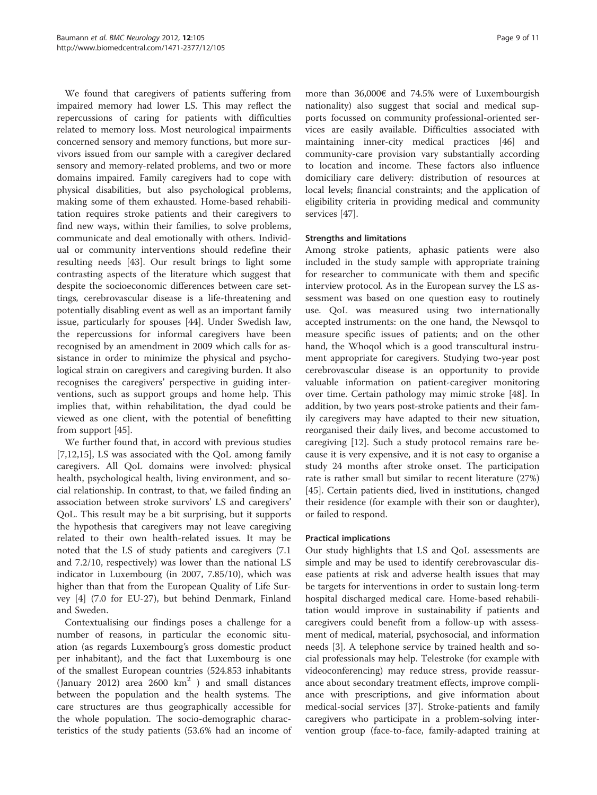We found that caregivers of patients suffering from impaired memory had lower LS. This may reflect the repercussions of caring for patients with difficulties related to memory loss. Most neurological impairments concerned sensory and memory functions, but more survivors issued from our sample with a caregiver declared sensory and memory-related problems, and two or more domains impaired. Family caregivers had to cope with physical disabilities, but also psychological problems, making some of them exhausted. Home-based rehabilitation requires stroke patients and their caregivers to find new ways, within their families, to solve problems, communicate and deal emotionally with others. Individual or community interventions should redefine their resulting needs [[43](#page-10-0)]. Our result brings to light some contrasting aspects of the literature which suggest that despite the socioeconomic differences between care settings, cerebrovascular disease is a life-threatening and potentially disabling event as well as an important family issue, particularly for spouses [[44\]](#page-10-0). Under Swedish law, the repercussions for informal caregivers have been recognised by an amendment in 2009 which calls for assistance in order to minimize the physical and psychological strain on caregivers and caregiving burden. It also recognises the caregivers' perspective in guiding interventions, such as support groups and home help. This implies that, within rehabilitation, the dyad could be viewed as one client, with the potential of benefitting from support [\[45\]](#page-10-0).

We further found that, in accord with previous studies [[7,12,15\]](#page-9-0), LS was associated with the QoL among family caregivers. All QoL domains were involved: physical health, psychological health, living environment, and social relationship. In contrast, to that, we failed finding an association between stroke survivors' LS and caregivers' QoL. This result may be a bit surprising, but it supports the hypothesis that caregivers may not leave caregiving related to their own health-related issues. It may be noted that the LS of study patients and caregivers (7.1 and 7.2/10, respectively) was lower than the national LS indicator in Luxembourg (in 2007, 7.85/10), which was higher than that from the European Quality of Life Survey [[4\]](#page-9-0) (7.0 for EU-27), but behind Denmark, Finland and Sweden.

Contextualising our findings poses a challenge for a number of reasons, in particular the economic situation (as regards Luxembourg's gross domestic product per inhabitant), and the fact that Luxembourg is one of the smallest European countries (524.853 inhabitants (January 2012) area 2600  $km^2$  ) and small distances between the population and the health systems. The care structures are thus geographically accessible for the whole population. The socio-demographic characteristics of the study patients (53.6% had an income of

more than 36,000€ and 74.5% were of Luxembourgish nationality) also suggest that social and medical supports focussed on community professional-oriented services are easily available. Difficulties associated with maintaining inner-city medical practices [\[46](#page-10-0)] and community-care provision vary substantially according to location and income. These factors also influence domiciliary care delivery: distribution of resources at local levels; financial constraints; and the application of eligibility criteria in providing medical and community services [\[47](#page-10-0)].

# Strengths and limitations

Among stroke patients, aphasic patients were also included in the study sample with appropriate training for researcher to communicate with them and specific interview protocol. As in the European survey the LS assessment was based on one question easy to routinely use. QoL was measured using two internationally accepted instruments: on the one hand, the Newsqol to measure specific issues of patients; and on the other hand, the Whoqol which is a good transcultural instrument appropriate for caregivers. Studying two-year post cerebrovascular disease is an opportunity to provide valuable information on patient-caregiver monitoring over time. Certain pathology may mimic stroke [[48\]](#page-10-0). In addition, by two years post-stroke patients and their family caregivers may have adapted to their new situation, reorganised their daily lives, and become accustomed to caregiving [\[12\]](#page-9-0). Such a study protocol remains rare because it is very expensive, and it is not easy to organise a study 24 months after stroke onset. The participation rate is rather small but similar to recent literature (27%) [[45\]](#page-10-0). Certain patients died, lived in institutions, changed their residence (for example with their son or daughter), or failed to respond.

# Practical implications

Our study highlights that LS and QoL assessments are simple and may be used to identify cerebrovascular disease patients at risk and adverse health issues that may be targets for interventions in order to sustain long-term hospital discharged medical care. Home-based rehabilitation would improve in sustainability if patients and caregivers could benefit from a follow-up with assessment of medical, material, psychosocial, and information needs [[3](#page-9-0)]. A telephone service by trained health and social professionals may help. Telestroke (for example with videoconferencing) may reduce stress, provide reassurance about secondary treatment effects, improve compliance with prescriptions, and give information about medical-social services [\[37](#page-10-0)]. Stroke-patients and family caregivers who participate in a problem-solving intervention group (face-to-face, family-adapted training at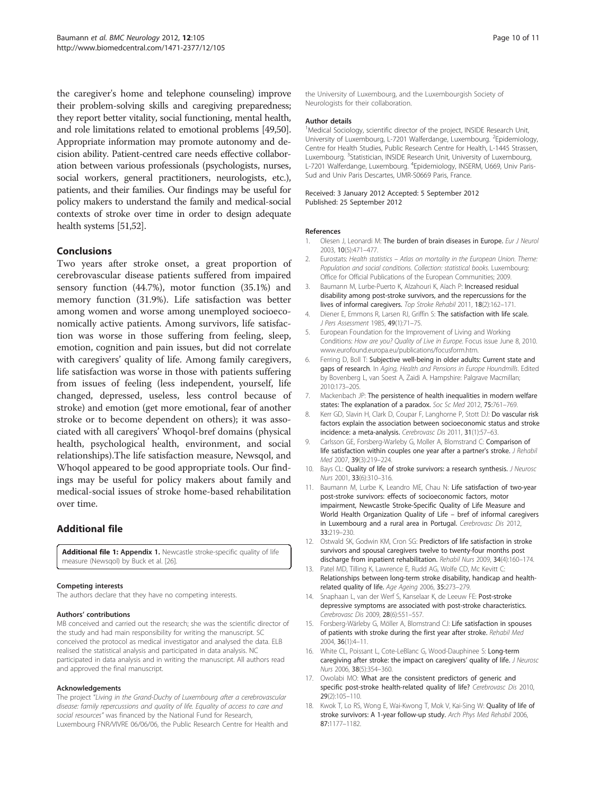<span id="page-9-0"></span>the caregiver's home and telephone counseling) improve their problem-solving skills and caregiving preparedness; they report better vitality, social functioning, mental health, and role limitations related to emotional problems [\[49,50](#page-10-0)]. Appropriate information may promote autonomy and decision ability. Patient-centred care needs effective collaboration between various professionals (psychologists, nurses, social workers, general practitioners, neurologists, etc.), patients, and their families. Our findings may be useful for policy makers to understand the family and medical-social contexts of stroke over time in order to design adequate health systems [[51,52\]](#page-10-0).

# Conclusions

Two years after stroke onset, a great proportion of cerebrovascular disease patients suffered from impaired sensory function (44.7%), motor function (35.1%) and memory function (31.9%). Life satisfaction was better among women and worse among unemployed socioeconomically active patients. Among survivors, life satisfaction was worse in those suffering from feeling, sleep, emotion, cognition and pain issues, but did not correlate with caregivers' quality of life. Among family caregivers, life satisfaction was worse in those with patients suffering from issues of feeling (less independent, yourself, life changed, depressed, useless, less control because of stroke) and emotion (get more emotional, fear of another stroke or to become dependent on others); it was associated with all caregivers' Whoqol-bref domains (physical health, psychological health, environment, and social relationships).The life satisfaction measure, Newsqol, and Whoqol appeared to be good appropriate tools. Our findings may be useful for policy makers about family and medical-social issues of stroke home-based rehabilitation over time.

# Additional file

[Additional file 1:](http://www.biomedcentral.com/content/supplementary/1471-2377-12-105-S1.doc) Appendix 1. Newcastle stroke-specific quality of life measure (Newsqol) by Buck et al. [26].

#### Competing interests

The authors declare that they have no competing interests.

#### Authors' contributions

MB conceived and carried out the research; she was the scientific director of the study and had main responsibility for writing the manuscript. SC conceived the protocol as medical investigator and analysed the data. ELB realised the statistical analysis and participated in data analysis. NC participated in data analysis and in writing the manuscript. All authors read and approved the final manuscript.

#### Acknowledgements

The project "Living in the Grand-Duchy of Luxembourg after a cerebrovascular disease: family repercussions and quality of life. Equality of access to care and social resources" was financed by the National Fund for Research, Luxembourg FNR/VIVRE 06/06/06, the Public Research Centre for Health and

the University of Luxembourg, and the Luxembourgish Society of Neurologists for their collaboration.

#### Author details

<sup>1</sup>Medical Sociology, scientific director of the project, INSIDE Research Unit, University of Luxembourg, L-7201 Walferdange, Luxembourg. <sup>2</sup>Epidemiology Centre for Health Studies, Public Research Centre for Health, L-1445 Strassen, Luxembourg. <sup>3</sup>Statistician, INSIDE Research Unit, University of Luxembourg, L-7201 Walferdange, Luxembourg. <sup>4</sup>Epidemiology, INSERM, U669, Univ Paris-Sud and Univ Paris Descartes, UMR-S0669 Paris, France.

#### Received: 3 January 2012 Accepted: 5 September 2012 Published: 25 September 2012

#### References

- Olesen J, Leonardi M: The burden of brain diseases in Europe. Eur J Neurol 2003, 10(5):471–477.
- Eurostats: Health statistics Atlas on mortality in the European Union. Theme: Population and social conditions. Collection: statistical books. Luxembourg: Office for Official Publications of the European Communities; 2009.
- 3. Baumann M, Lurbe-Puerto K, Alzahouri K, Aïach P: Increased residual disability among post-stroke survivors, and the repercussions for the lives of informal caregivers. Top Stroke Rehabil 2011, 18(2):162–171.
- 4. Diener E, Emmons R, Larsen RJ, Griffin S: The satisfaction with life scale. J Pers Assessment 1985, 49(1):71–75.
- 5. European Foundation for the Improvement of Living and Working Conditions: How are you? Quality of Live in Europe. Focus issue June 8, 2010. www.eurofound.europa.eu/publications/focusform.htm.
- 6. Ferring D, Boll T: Subjective well-being in older adults: Current state and gaps of research. In Aging, Health and Pensions in Europe Houndmills. Edited by Bovenberg L, van Soest A, Zaidi A. Hampshire: Palgrave Macmillan; 2010:173–205.
- 7. Mackenbach JP: The persistence of health inequalities in modern welfare states: The explanation of a paradox. Soc Sc Med 2012, 75:761–769.
- 8. Kerr GD, Slavin H, Clark D, Coupar F, Langhorne P, Stott DJ: Do vascular risk factors explain the association between socioeconomic status and stroke incidence: a meta-analysis. Cerebrovasc Dis 2011, 31(1):57–63.
- 9. Carlsson GE, Forsberg-Warleby G, Moller A, Blomstrand C: Comparison of life satisfaction within couples one year after a partner's stroke. J Rehabil Med 2007, 39(3):219–224.
- 10. Bays CL: Quality of life of stroke survivors: a research synthesis. J Neurosc Nurs 2001, 33(6):310–316.
- 11. Baumann M, Lurbe K, Leandro ME, Chau N: Life satisfaction of two-year post-stroke survivors: effects of socioeconomic factors, motor impairment, Newcastle Stroke-Specific Quality of Life Measure and World Health Organization Quality of Life – bref of informal caregivers in Luxembourg and a rural area in Portugal. Cerebrovasc Dis 2012, 33:219–230.
- 12. Ostwald SK, Godwin KM, Cron SG: Predictors of life satisfaction in stroke survivors and spousal caregivers twelve to twenty-four months post discharge from inpatient rehabilitation. Rehabil Nurs 2009, 34(4):160-174.
- 13. Patel MD, Tilling K, Lawrence E, Rudd AG, Wolfe CD, Mc Kevitt C: Relationships between long-term stroke disability, handicap and healthrelated quality of life. Age Ageing 2006, 35:273–279.
- 14. Snaphaan L, van der Werf S, Kanselaar K, de Leeuw FE: Post-stroke depressive symptoms are associated with post-stroke characteristics. Cerebrovasc Dis 2009, 28(6):551-557.
- 15. Forsberg-Wärleby G, Möller A, Blomstrand CJ: Life satisfaction in spouses of patients with stroke during the first year after stroke. Rehabil Med 2004, 36(1):4–11.
- 16. White CL, Poissant L, Cote-LeBlanc G, Wood-Dauphinee S: Long-term caregiving after stroke: the impact on caregivers' quality of life. J Neurosc Nurs 2006, 38(5):354–360.
- 17. Owolabi MO: What are the consistent predictors of generic and specific post-stroke health-related quality of life? Cerebrovasc Dis 2010, 29(2):105–110.
- 18. Kwok T, Lo RS, Wong E, Wai-Kwong T, Mok V, Kai-Sing W: Quality of life of stroke survivors: A 1-year follow-up study. Arch Phys Med Rehabil 2006, 87:1177–1182.